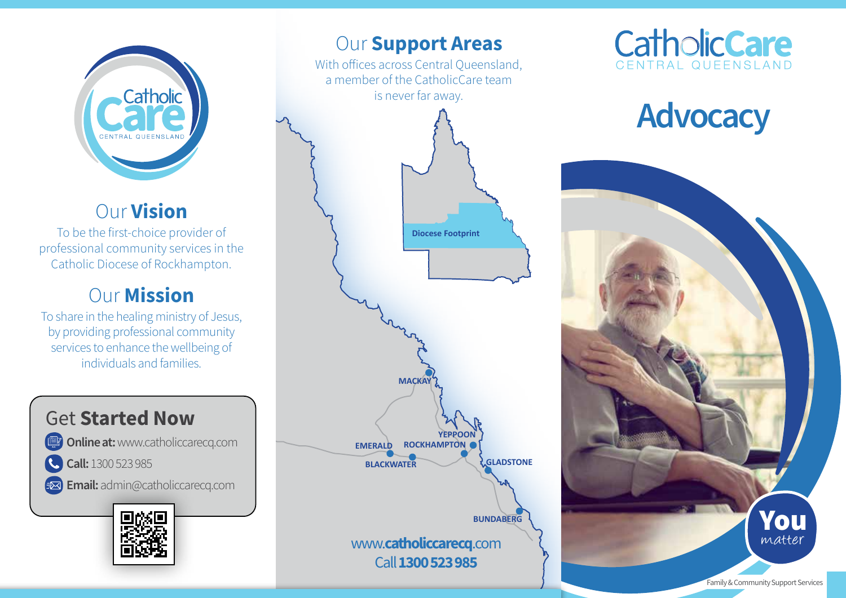

## Our Vision

To be the first-choice provider of professional community services in the Catholic Diocese of Rockhampton.

## **Our Mission**

To share in the healing ministry of Jesus, by providing professional community services to enhance the wellbeing of individuals and families.

## Get Started Now

**Online at: www.catholiccarecq.com** 

C. Call: 1300 523 985

Exal Email: admin@catholiccarecq.com



## **Our Support Areas**

With offices across Central Queensland, a member of the CatholicCare team is never far away.



# **CatholicCare**

## **Advocacy**